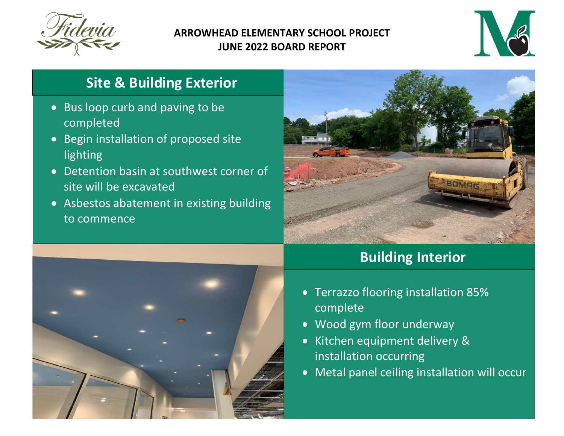

#### **ARROWHEAD ELEMENTARY SCHOOL PROJECT JUNE 2022 BOARD REPORT**



## **Site & Building Exterior**

- Bus loop curb and paving to be completed
- Begin installation of proposed site lighting
- Detention basin at southwest corner of site will be excavated
- Asbestos abatement in existing building to commence





## **Building Interior**

- Terrazzo flooring installation 85% complete
- Wood gym floor underway
- Kitchen equipment delivery & installation occurring
- Metal panel ceiling installation will occur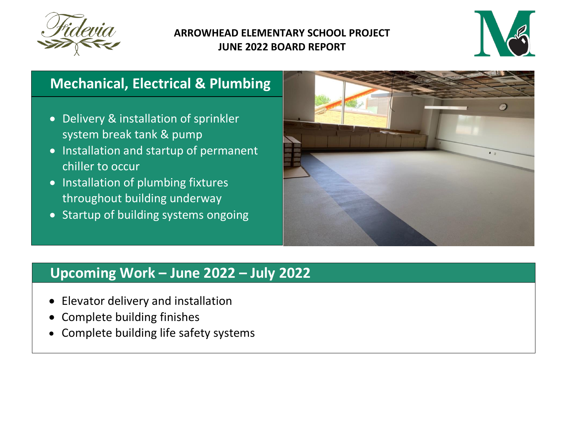

#### **ARROWHEAD ELEMENTARY SCHOOL PROJECT JUNE 2022 BOARD REPORT**



## **Mechanical, Electrical & Plumbing**

- Delivery & installation of sprinkler system break tank & pump
- Installation and startup of permanent chiller to occur
- Installation of plumbing fixtures throughout building underway
- Startup of building systems ongoing



### **Upcoming Work ʹ June 2022 ʹ July 2022**

- x Elevator delivery and installation
- Complete building finishes
- Complete building life safety systems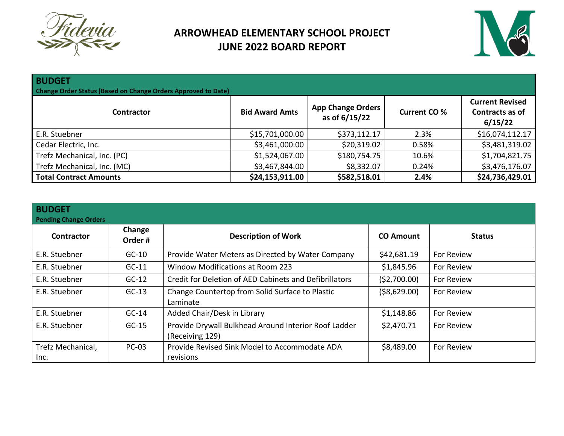

### **ARROWHEAD ELEMENTARY SCHOOL PROJECT JUNE 2022 BOARD REPORT**



| <b>BUDGET</b><br>Change Order Status (Based on Change Orders Approved to Date) |                       |                                           |                     |                                                      |  |  |
|--------------------------------------------------------------------------------|-----------------------|-------------------------------------------|---------------------|------------------------------------------------------|--|--|
| <b>Contractor</b>                                                              | <b>Bid Award Amts</b> | <b>App Change Orders</b><br>as of 6/15/22 | <b>Current CO %</b> | <b>Current Revised</b><br>Contracts as of<br>6/15/22 |  |  |
| E.R. Stuebner                                                                  | \$15,701,000.00       | \$373,112.17                              | 2.3%                | \$16,074,112.17                                      |  |  |
| Cedar Electric, Inc.                                                           | \$3,461,000.00        | \$20,319.02                               | 0.58%               | \$3,481,319.02                                       |  |  |
| Trefz Mechanical, Inc. (PC)                                                    | \$1,524,067.00        | \$180,754.75                              | 10.6%               | \$1,704,821.75                                       |  |  |
| Trefz Mechanical, Inc. (MC)                                                    | \$3,467,844.00        | \$8,332.07                                | 0.24%               | \$3,476,176.07                                       |  |  |
| <b>Total Contract Amounts</b>                                                  | \$24,153,911.00       | \$582,518.01                              | 2.4%                | \$24,736,429.01                                      |  |  |

| <b>BUDGET</b><br>Pending Change Orders |                  |                                                                         |                  |               |
|----------------------------------------|------------------|-------------------------------------------------------------------------|------------------|---------------|
| <b>Contractor</b>                      | Change<br>Order# | <b>Description of Work</b>                                              | <b>CO Amount</b> | <b>Status</b> |
| E.R. Stuebner                          | $GC-10$          | Provide Water Meters as Directed by Water Company                       | \$42,681.19      | For Review    |
| E.R. Stuebner                          | $GC-11$          | <b>Window Modifications at Room 223</b>                                 | \$1,845.96       | For Review    |
| E.R. Stuebner                          | $GC-12$          | Credit for Deletion of AED Cabinets and Defibrillators                  | (52,700.00)      | For Review    |
| E.R. Stuebner                          | $GC-13$          | Change Countertop from Solid Surface to Plastic<br>Laminate             | ( \$8,629.00)    | For Review    |
| E.R. Stuebner                          | $GC-14$          | Added Chair/Desk in Library                                             | \$1,148.86       | For Review    |
| E.R. Stuebner                          | $GC-15$          | Provide Drywall Bulkhead Around Interior Roof Ladder<br>(Receiving 129) | \$2,470.71       | For Review    |
| Trefz Mechanical,<br>Inc.              | <b>PC-03</b>     | Provide Revised Sink Model to Accommodate ADA<br>revisions              | \$8,489.00       | For Review    |